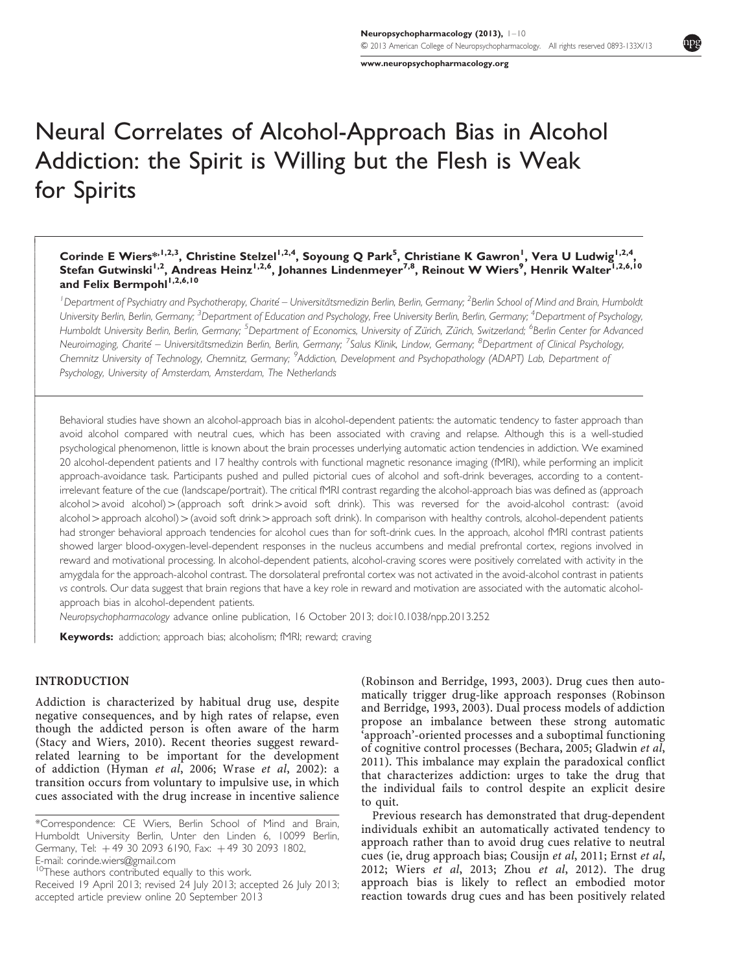[www.neuropsychopharmacology.org](http://www.neuropsychopharmacology.org)

# Neural Correlates of Alcohol-Approach Bias in Alcohol Addiction: the Spirit is Willing but the Flesh is Weak for Spirits

# Corinde E Wiers\*<sup>,1,2,3</sup>, Christine Stelzel<sup>1,2,4</sup>, Soyoung Q Park<sup>5</sup>, Christiane K Gawron<sup>1</sup>, Vera U Ludwig<sup>1,2,4</sup>, Stefan Gutwinski<sup>1,2</sup>, Andreas Heinz<sup>1,2,6</sup>, Johannes Lindenmeyer<sup>7,8</sup>, Reinout W Wiers<sup>9</sup>, Henrik Walter<sup>1,2,6,10</sup> and Felix Bermpohl<sup>1,2,6,10</sup>

<sup>1</sup> Department of Psychiatry and Psychotherapy, Charité – Universitätsmedizin Berlin, Berlin, Germany; <sup>2</sup>Berlin School of Mind and Brain, Humboldt University Berlin, Berlin, Germany; <sup>3</sup>Department of Education and Psychology, Free University Berlin, Germany; <sup>4</sup>Department of Psychology, Humboldt University Berlin, Berlin, Germany; <sup>5</sup>Department of Economics, University of Zürich, Zürich, Switzerland; <sup>6</sup>Berlin Center for Advancea Neuroimaging, Charité – Universitätsmedizin Berlin, Berlin, Germany; <sup>7</sup>Salus Klinik, Lindow, Germany; <sup>8</sup>Department of Clinical Psychology, Chemnitz University of Technology, Chemnitz, Germany; <sup>9</sup>Addiction, Development and Psychopathology (ADAPT) Lab, Department of Psychology, University of Amsterdam, Amsterdam, The Netherlands

Behavioral studies have shown an alcohol-approach bias in alcohol-dependent patients: the automatic tendency to faster approach than avoid alcohol compared with neutral cues, which has been associated with craving and relapse. Although this is a well-studied psychological phenomenon, little is known about the brain processes underlying automatic action tendencies in addiction. We examined 20 alcohol-dependent patients and 17 healthy controls with functional magnetic resonance imaging (fMRI), while performing an implicit approach-avoidance task. Participants pushed and pulled pictorial cues of alcohol and soft-drink beverages, according to a contentirrelevant feature of the cue (landscape/portrait). The critical fMRI contrast regarding the alcohol-approach bias was defined as (approach alcohol>avoid alcohol)>(approach soft drink>avoid soft drink). This was reversed for the avoid-alcohol contrast: (avoid alcohol > approach alcohol) > (avoid soft drink > approach soft drink). In comparison with healthy controls, alcohol-dependent patients had stronger behavioral approach tendencies for alcohol cues than for soft-drink cues. In the approach, alcohol fMRI contrast patients showed larger blood-oxygen-level-dependent responses in the nucleus accumbens and medial prefrontal cortex, regions involved in reward and motivational processing. In alcohol-dependent patients, alcohol-craving scores were positively correlated with activity in the amygdala for the approach-alcohol contrast. The dorsolateral prefrontal cortex was not activated in the avoid-alcohol contrast in patients vs controls. Our data suggest that brain regions that have a key role in reward and motivation are associated with the automatic alcoholapproach bias in alcohol-dependent patients.

Neuropsychopharmacology advance online publication, 16 October 2013; doi:[10.1038/npp.2013.252](http://dx.doi.org/10.1038/npp.2013.252)

Keywords: addiction; approach bias; alcoholism; fMRI; reward; craving

#### INTRODUCTION

--

-

Addiction is characterized by habitual drug use, despite negative consequences, and by high rates of relapse, even though the addicted person is often aware of the harm [\(Stacy and Wiers, 2010](#page-8-0)). Recent theories suggest rewardrelated learning to be important for the development of addiction ([Hyman](#page-8-0) et al, 2006; Wrase et al[, 2002\)](#page-9-0): a transition occurs from voluntary to impulsive use, in which cues associated with the drug increase in incentive salience

\*Correspondence: CE Wiers, Berlin School of Mind and Brain, Humboldt University Berlin, Unter den Linden 6, 10099 Berlin, Germany, Tel:  $+49$  30 2093 6190, Fax:  $+49$  30 2093 1802, E-mail: [corinde.wiers@gmail.com](mailto:corinde.wiers@gmail.com)

<sup>10</sup>These authors contributed equally to this work.

Received 19 April 2013; revised 24 July 2013; accepted 26 July 2013; accepted article preview online 20 September 2013

[\(Robinson and Berridge, 1993, 2003\)](#page-8-0). Drug cues then automatically trigger drug-like approach responses [\(Robinson](#page-8-0) [and Berridge, 1993, 2003](#page-8-0)). Dual process models of addiction propose an imbalance between these strong automatic 'approach'-oriented processes and a suboptimal functioning of cognitive control processes ([Bechara, 2005;](#page-7-0) [Gladwin](#page-8-0) et al, [2011\)](#page-8-0). This imbalance may explain the paradoxical conflict that characterizes addiction: urges to take the drug that the individual fails to control despite an explicit desire to quit.

Previous research has demonstrated that drug-dependent individuals exhibit an automatically activated tendency to approach rather than to avoid drug cues relative to neutral cues (ie, drug approach bias; [Cousijn](#page-8-0) et al, 2011; [Ernst](#page-8-0) et al, [2012;](#page-8-0) Wiers et al[, 2013;](#page-9-0) Zhou et al[, 2012](#page-9-0)). The drug approach bias is likely to reflect an embodied motor reaction towards drug cues and has been positively related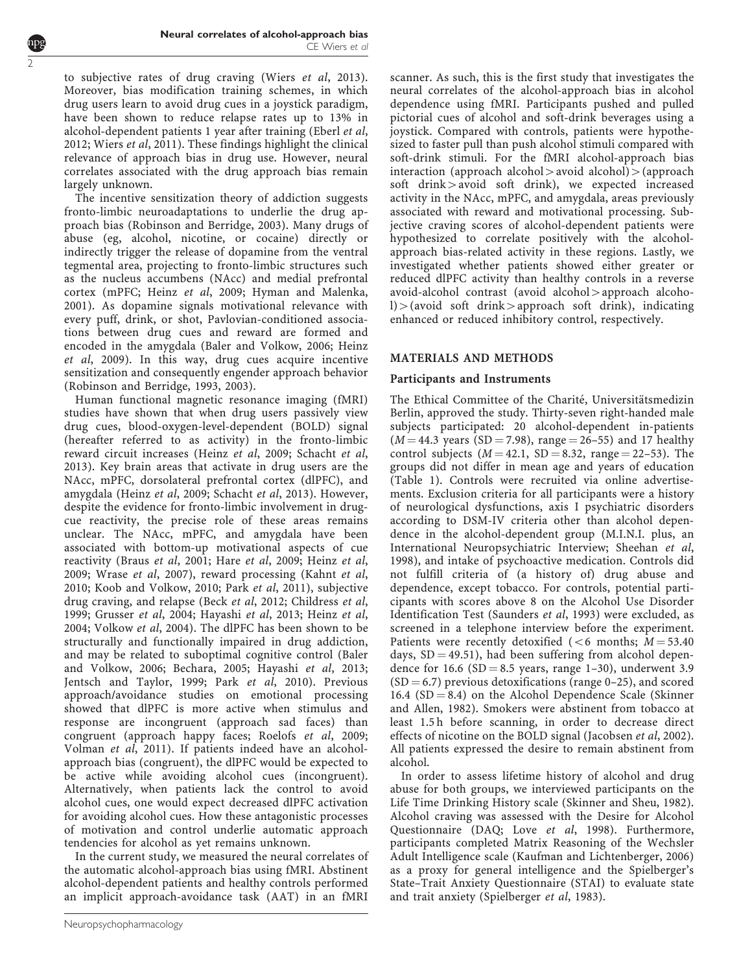to subjective rates of drug craving (Wiers et al[, 2013](#page-9-0)). Moreover, bias modification training schemes, in which drug users learn to avoid drug cues in a joystick paradigm, have been shown to reduce relapse rates up to 13% in alcohol-dependent patients 1 year after training ([Eberl](#page-8-0) et al, [2012](#page-8-0); [Wiers](#page-9-0) et al, 2011). These findings highlight the clinical relevance of approach bias in drug use. However, neural correlates associated with the drug approach bias remain largely unknown.

The incentive sensitization theory of addiction suggests fronto-limbic neuroadaptations to underlie the drug approach bias ([Robinson and Berridge, 2003\)](#page-8-0). Many drugs of abuse (eg, alcohol, nicotine, or cocaine) directly or indirectly trigger the release of dopamine from the ventral tegmental area, projecting to fronto-limbic structures such as the nucleus accumbens (NAcc) and medial prefrontal cortex (mPFC; Heinz et al[, 2009; Hyman and Malenka,](#page-8-0) [2001](#page-8-0)). As dopamine signals motivational relevance with every puff, drink, or shot, Pavlovian-conditioned associations between drug cues and reward are formed and encoded in the amygdala [\(Baler and Volkow, 2006;](#page-7-0) [Heinz](#page-8-0) et al[, 2009\)](#page-8-0). In this way, drug cues acquire incentive sensitization and consequently engender approach behavior ([Robinson and Berridge, 1993, 2003\)](#page-8-0).

Human functional magnetic resonance imaging (fMRI) studies have shown that when drug users passively view drug cues, blood-oxygen-level-dependent (BOLD) signal (hereafter referred to as activity) in the fronto-limbic reward circuit increases (Heinz et al[, 2009; Schacht](#page-8-0) et al, [2013](#page-8-0)). Key brain areas that activate in drug users are the NAcc, mPFC, dorsolateral prefrontal cortex (dlPFC), and amygdala (Heinz et al[, 2009; Schacht](#page-8-0) et al, 2013). However, despite the evidence for fronto-limbic involvement in drugcue reactivity, the precise role of these areas remains unclear. The NAcc, mPFC, and amygdala have been associated with bottom-up motivational aspects of cue reactivity (Braus et al[, 2001](#page-8-0); Hare et al[, 2009; Heinz](#page-8-0) et al, [2009](#page-8-0); [Wrase](#page-9-0) et al, 2007), reward processing [\(Kahnt](#page-8-0) et al, [2010](#page-8-0); [Koob and Volkow, 2010](#page-8-0); Park et al[, 2011\)](#page-8-0), subjective drug craving, and relapse (Beck et al[, 2012](#page-7-0); [Childress](#page-8-0) et al, [1999](#page-8-0); [Grusser](#page-8-0) et al, 2004; [Hayashi](#page-8-0) et al, 2013; [Heinz](#page-8-0) et al, [2004](#page-8-0); [Volkow](#page-8-0) et al, 2004). The dlPFC has been shown to be structurally and functionally impaired in drug addiction, and may be related to suboptimal cognitive control [\(Baler](#page-7-0) [and Volkow, 2006; Bechara, 2005;](#page-7-0) [Hayashi](#page-8-0) et al, 2013; [Jentsch and Taylor, 1999;](#page-8-0) Park et al[, 2010\)](#page-8-0). Previous approach/avoidance studies on emotional processing showed that dlPFC is more active when stimulus and response are incongruent (approach sad faces) than congruent (approach happy faces; [Roelofs](#page-8-0) et al, 2009; [Volman](#page-9-0) et al, 2011). If patients indeed have an alcoholapproach bias (congruent), the dlPFC would be expected to be active while avoiding alcohol cues (incongruent). Alternatively, when patients lack the control to avoid alcohol cues, one would expect decreased dlPFC activation for avoiding alcohol cues. How these antagonistic processes of motivation and control underlie automatic approach tendencies for alcohol as yet remains unknown.

In the current study, we measured the neural correlates of the automatic alcohol-approach bias using fMRI. Abstinent alcohol-dependent patients and healthy controls performed an implicit approach-avoidance task (AAT) in an fMRI

scanner. As such, this is the first study that investigates the neural correlates of the alcohol-approach bias in alcohol dependence using fMRI. Participants pushed and pulled pictorial cues of alcohol and soft-drink beverages using a joystick. Compared with controls, patients were hypothesized to faster pull than push alcohol stimuli compared with soft-drink stimuli. For the fMRI alcohol-approach bias interaction (approach alcohol $>$ avoid alcohol $>$ (approach soft drink  $>$  avoid soft drink), we expected increased activity in the NAcc, mPFC, and amygdala, areas previously associated with reward and motivational processing. Subjective craving scores of alcohol-dependent patients were hypothesized to correlate positively with the alcoholapproach bias-related activity in these regions. Lastly, we investigated whether patients showed either greater or reduced dlPFC activity than healthy controls in a reverse avoid-alcohol contrast (avoid alcohol > approach alcohol)  $>(a$ void soft drink $>$ approach soft drink), indicating enhanced or reduced inhibitory control, respectively.

## MATERIALS AND METHODS

#### Participants and Instruments

The Ethical Committee of the Charité, Universitätsmedizin Berlin, approved the study. Thirty-seven right-handed male subjects participated: 20 alcohol-dependent in-patients  $(M = 44.3 \text{ years } (SD = 7.98), \text{ range} = 26-55) \text{ and } 17 \text{ healthy}$ control subjects  $(M = 42.1, SD = 8.32, range = 22-53)$ . The groups did not differ in mean age and years of education ([Table 1](#page-2-0)). Controls were recruited via online advertisements. Exclusion criteria for all participants were a history of neurological dysfunctions, axis I psychiatric disorders according to DSM-IV criteria other than alcohol dependence in the alcohol-dependent group (M.I.N.I. plus, an International Neuropsychiatric Interview; [Sheehan](#page-8-0) et al, [1998](#page-8-0)), and intake of psychoactive medication. Controls did not fulfill criteria of (a history of) drug abuse and dependence, except tobacco. For controls, potential participants with scores above 8 on the Alcohol Use Disorder Identification Test ([Saunders](#page-8-0) et al, 1993) were excluded, as screened in a telephone interview before the experiment. Patients were recently detoxified ( $<$ 6 months;  $M = 53.40$ days,  $SD = 49.51$ ), had been suffering from alcohol dependence for 16.6 (SD = 8.5 years, range 1-30), underwent 3.9  $(SD = 6.7)$  previous detoxifications (range 0–25), and scored 16.4 ( $SD = 8.4$ ) on the Alcohol Dependence Scale [\(Skinner](#page-8-0) [and Allen, 1982\)](#page-8-0). Smokers were abstinent from tobacco at least 1.5 h before scanning, in order to decrease direct effects of nicotine on the BOLD signal ([Jacobsen](#page-8-0) et al, 2002). All patients expressed the desire to remain abstinent from alcohol.

In order to assess lifetime history of alcohol and drug abuse for both groups, we interviewed participants on the Life Time Drinking History scale [\(Skinner and Sheu, 1982](#page-8-0)). Alcohol craving was assessed with the Desire for Alcohol Questionnaire (DAQ; Love et al[, 1998\)](#page-8-0). Furthermore, participants completed Matrix Reasoning of the Wechsler Adult Intelligence scale ([Kaufman and Lichtenberger, 2006\)](#page-8-0) as a proxy for general intelligence and the Spielberger's State–Trait Anxiety Questionnaire (STAI) to evaluate state and trait anxiety ([Spielberger](#page-8-0) et al, 1983).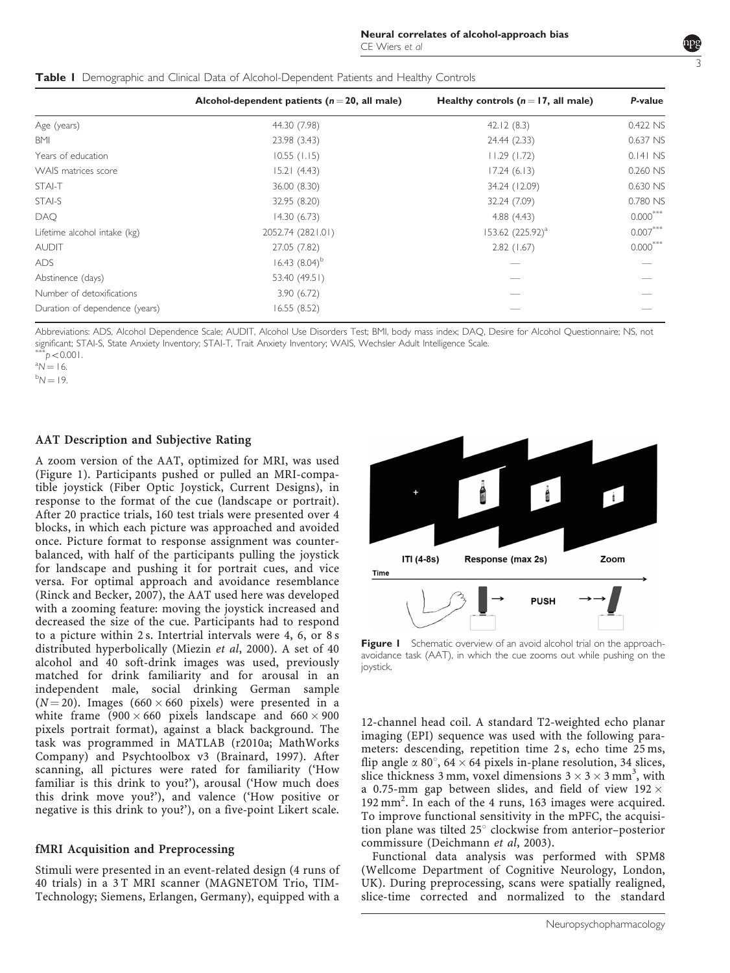|                                | Alcohol-dependent patients ( $n = 20$ , all male) | Healthy controls ( $n = 17$ , all male) | P-value    |
|--------------------------------|---------------------------------------------------|-----------------------------------------|------------|
| Age (years)                    | 44.30 (7.98)                                      | 42.12(8.3)                              | 0.422 NS   |
| BMI                            | 23.98 (3.43)                                      | 24.44 (2.33)                            | 0.637 NS   |
| Years of education             | $10.55$ (1.15)                                    | 11.29(1.72)                             | 0.141 NS   |
| <b>WAIS</b> matrices score     | $ 5.2 $ $(4.43)$                                  | 17.24(6.13)                             | 0.260 NS   |
| STAI-T                         | 36.00 (8.30)                                      | 34.24 (12.09)                           | 0.630 NS   |
| STAI-S                         | 32.95 (8.20)                                      | 32.24 (7.09)                            | 0.780 NS   |
| DAO                            | 14.30(6.73)                                       | 4.88(4.43)                              | $0.000***$ |
| Lifetime alcohol intake (kg)   | 2052.74 (2821.01)                                 | 153.62 (225.92) <sup>a</sup>            | $0.007***$ |
| <b>AUDIT</b>                   | 27.05 (7.82)                                      | 2.82(1.67)                              | $0.000***$ |
| <b>ADS</b>                     | $16.43 (8.04)^{b}$                                |                                         |            |
| Abstinence (days)              | 53.40 (49.51)                                     |                                         |            |
| Number of detoxifications      | 3.90(6.72)                                        |                                         |            |
| Duration of dependence (years) | 16.55(8.52)                                       |                                         |            |
|                                |                                                   |                                         |            |

<span id="page-2-0"></span>Table I Demographic and Clinical Data of Alcohol-Dependent Patients and Healthy Controls

Abbreviations: ADS, Alcohol Dependence Scale; AUDIT, Alcohol Use Disorders Test; BMI, body mass index; DAQ, Desire for Alcohol Questionnaire; NS, not significant; STAI-S, State Anxiety Inventory; STAI-T, Trait Anxiety Inventory; WAIS, Wechsler Adult Intelligence Scale.

 $bN = 19.$ 

# AAT Description and Subjective Rating

A zoom version of the AAT, optimized for MRI, was used (Figure 1). Participants pushed or pulled an MRI-compatible joystick (Fiber Optic Joystick, Current Designs), in response to the format of the cue (landscape or portrait). After 20 practice trials, 160 test trials were presented over 4 blocks, in which each picture was approached and avoided once. Picture format to response assignment was counterbalanced, with half of the participants pulling the joystick for landscape and pushing it for portrait cues, and vice versa. For optimal approach and avoidance resemblance [\(Rinck and Becker, 2007](#page-8-0)), the AAT used here was developed with a zooming feature: moving the joystick increased and decreased the size of the cue. Participants had to respond to a picture within 2 s. Intertrial intervals were 4, 6, or 8 s distributed hyperbolically ([Miezin](#page-8-0) et al, 2000). A set of 40 alcohol and 40 soft-drink images was used, previously matched for drink familiarity and for arousal in an independent male, social drinking German sample  $(N=20)$ . Images (660 × 660 pixels) were presented in a white frame (900 $\times$  660 pixels landscape and 660 $\times$ 900 pixels portrait format), against a black background. The task was programmed in MATLAB (r2010a; MathWorks Company) and Psychtoolbox v3 [\(Brainard, 1997\)](#page-8-0). After scanning, all pictures were rated for familiarity ('How familiar is this drink to you?'), arousal ('How much does this drink move you?'), and valence ('How positive or negative is this drink to you?'), on a five-point Likert scale.

# fMRI Acquisition and Preprocessing

Stimuli were presented in an event-related design (4 runs of 40 trials) in a 3 T MRI scanner (MAGNETOM Trio, TIM-Technology; Siemens, Erlangen, Germany), equipped with a



Figure I Schematic overview of an avoid alcohol trial on the approachavoidance task (AAT), in which the cue zooms out while pushing on the joystick.

12-channel head coil. A standard T2-weighted echo planar imaging (EPI) sequence was used with the following parameters: descending, repetition time 2s, echo time 25 ms, flip angle  $\alpha$  80°, 64  $\times$  64 pixels in-plane resolution, 34 slices, slice thickness 3 mm, voxel dimensions  $3 \times 3 \times 3$  mm<sup>3</sup>, with a 0.75-mm gap between slides, and field of view 192  $\times$ 192 mm<sup>2</sup> . In each of the 4 runs, 163 images were acquired. To improve functional sensitivity in the mPFC, the acquisition plane was tilted  $25^\circ$  clockwise from anterior–posterior commissure [\(Deichmann](#page-8-0) et al, 2003).

Functional data analysis was performed with SPM8 (Wellcome Department of Cognitive Neurology, London, UK). During preprocessing, scans were spatially realigned, slice-time corrected and normalized to the standard

 $p$  < 0.001.

 $N = 16$ .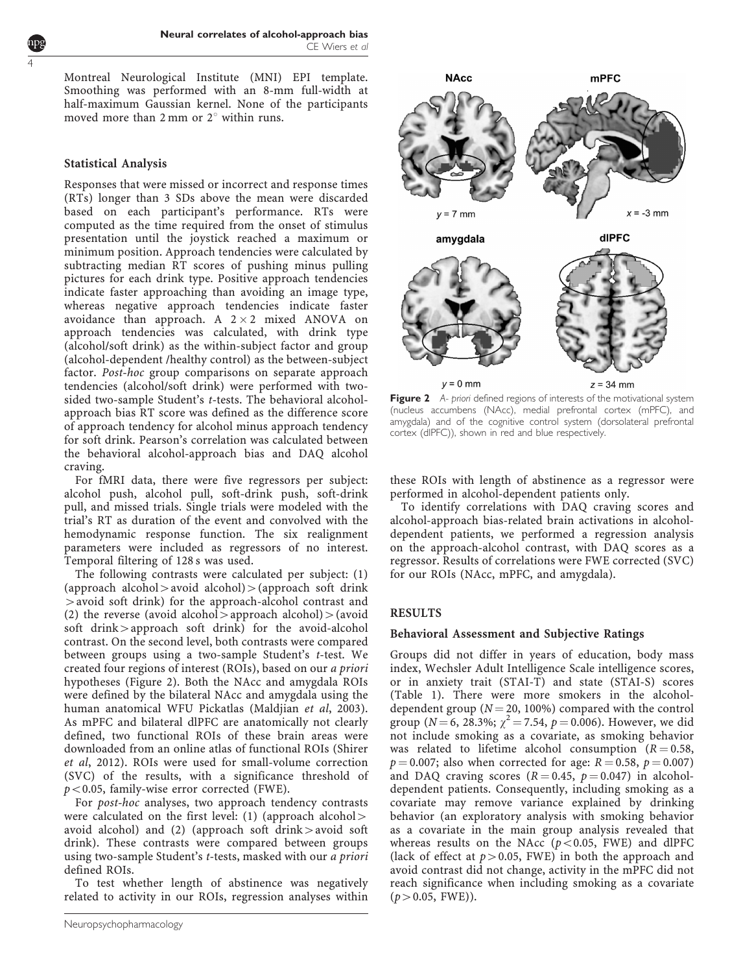Montreal Neurological Institute (MNI) EPI template. Smoothing was performed with an 8-mm full-width at half-maximum Gaussian kernel. None of the participants moved more than  $2 \text{ mm}$  or  $2^{\circ}$  within runs.

## Statistical Analysis

Responses that were missed or incorrect and response times (RTs) longer than 3 SDs above the mean were discarded based on each participant's performance. RTs were computed as the time required from the onset of stimulus presentation until the joystick reached a maximum or minimum position. Approach tendencies were calculated by subtracting median RT scores of pushing minus pulling pictures for each drink type. Positive approach tendencies indicate faster approaching than avoiding an image type, whereas negative approach tendencies indicate faster avoidance than approach. A  $2 \times 2$  mixed ANOVA on approach tendencies was calculated, with drink type (alcohol/soft drink) as the within-subject factor and group (alcohol-dependent /healthy control) as the between-subject factor. Post-hoc group comparisons on separate approach tendencies (alcohol/soft drink) were performed with twosided two-sample Student's t-tests. The behavioral alcoholapproach bias RT score was defined as the difference score of approach tendency for alcohol minus approach tendency for soft drink. Pearson's correlation was calculated between the behavioral alcohol-approach bias and DAQ alcohol craving.

For fMRI data, there were five regressors per subject: alcohol push, alcohol pull, soft-drink push, soft-drink pull, and missed trials. Single trials were modeled with the trial's RT as duration of the event and convolved with the hemodynamic response function. The six realignment parameters were included as regressors of no interest. Temporal filtering of 128 s was used.

The following contrasts were calculated per subject: (1) (approach alcohol $>$ avoid alcohol) $>(approach soft drink$  $\geq$  avoid soft drink) for the approach-alcohol contrast and (2) the reverse (avoid alcohol $\geq$ approach alcohol) $\geq$ (avoid soft drink > approach soft drink) for the avoid-alcohol contrast. On the second level, both contrasts were compared between groups using a two-sample Student's t-test. We created four regions of interest (ROIs), based on our a priori hypotheses (Figure 2). Both the NAcc and amygdala ROIs were defined by the bilateral NAcc and amygdala using the human anatomical WFU Pickatlas [\(Maldjian](#page-8-0) et al, 2003). As mPFC and bilateral dlPFC are anatomically not clearly defined, two functional ROIs of these brain areas were downloaded from an online atlas of functional ROIs [\(Shirer](#page-8-0) et al[, 2012\)](#page-8-0). ROIs were used for small-volume correction (SVC) of the results, with a significance threshold of  $p<0.05$ , family-wise error corrected (FWE).

For post-hoc analyses, two approach tendency contrasts were calculated on the first level: (1) (approach alcohol  $>$ avoid alcohol) and (2) (approach soft drink  $>$  avoid soft drink). These contrasts were compared between groups using two-sample Student's t-tests, masked with our a priori defined ROIs.

To test whether length of abstinence was negatively related to activity in our ROIs, regression analyses within



Figure 2 A- priori defined regions of interests of the motivational system (nucleus accumbens (NAcc), medial prefrontal cortex (mPFC), and amygdala) and of the cognitive control system (dorsolateral prefrontal cortex (dlPFC)), shown in red and blue respectively.

these ROIs with length of abstinence as a regressor were performed in alcohol-dependent patients only.

To identify correlations with DAQ craving scores and alcohol-approach bias-related brain activations in alcoholdependent patients, we performed a regression analysis on the approach-alcohol contrast, with DAQ scores as a regressor. Results of correlations were FWE corrected (SVC) for our ROIs (NAcc, mPFC, and amygdala).

## RESULTS

#### Behavioral Assessment and Subjective Ratings

Groups did not differ in years of education, body mass index, Wechsler Adult Intelligence Scale intelligence scores, or in anxiety trait (STAI-T) and state (STAI-S) scores ([Table 1\)](#page-2-0). There were more smokers in the alcoholdependent group ( $N = 20$ , 100%) compared with the control group ( $N = 6$ , 28.3%;  $\chi^2 = 7.54$ ,  $p = 0.006$ ). However, we did not include smoking as a covariate, as smoking behavior was related to lifetime alcohol consumption ( $R = 0.58$ ,  $p = 0.007$ ; also when corrected for age:  $R = 0.58$ ,  $p = 0.007$ ) and DAQ craving scores ( $R = 0.45$ ,  $p = 0.047$ ) in alcoholdependent patients. Consequently, including smoking as a covariate may remove variance explained by drinking behavior (an exploratory analysis with smoking behavior as a covariate in the main group analysis revealed that whereas results on the NAcc  $(p<0.05, FWE)$  and dlPFC (lack of effect at  $p>0.05$ , FWE) in both the approach and avoid contrast did not change, activity in the mPFC did not reach significance when including smoking as a covariate  $(p>0.05, FWE)$ ).

4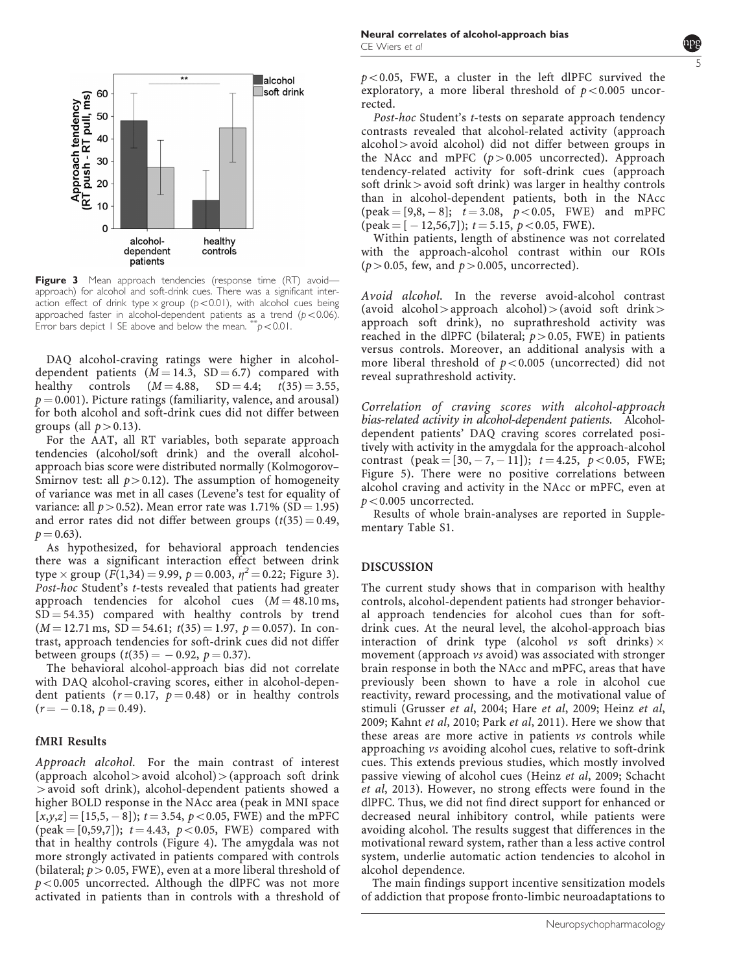

Figure 3 Mean approach tendencies (response time (RT) avoidapproach) for alcohol and soft-drink cues. There was a significant interaction effect of drink type  $\times$  group (p < 0.01), with alcohol cues being approached faster in alcohol-dependent patients as a trend  $(p<0.06)$ . Error bars depict 1 SE above and below the mean.  $\sqrt[n]{p}$  < 0.01.

DAQ alcohol-craving ratings were higher in alcoholdependent patients  $(M = 14.3, SD = 6.7)$  compared with healthy controls  $(M = 4.88, SD = 4.4; t(35) = 3.55,$  $p = 0.001$ ). Picture ratings (familiarity, valence, and arousal) for both alcohol and soft-drink cues did not differ between groups (all  $p > 0.13$ ).

For the AAT, all RT variables, both separate approach tendencies (alcohol/soft drink) and the overall alcoholapproach bias score were distributed normally (Kolmogorov– Smirnov test: all  $p > 0.12$ ). The assumption of homogeneity of variance was met in all cases (Levene's test for equality of variance: all  $p > 0.52$ ). Mean error rate was 1.71% (SD = 1.95) and error rates did not differ between groups  $(t(35) = 0.49,$  $p = 0.63$ ).

As hypothesized, for behavioral approach tendencies there was a significant interaction effect between drink type  $\times$  group (F(1,34) = 9.99, p = 0.003,  $\eta^2$  = 0.22; Figure 3). Post-hoc Student's t-tests revealed that patients had greater approach tendencies for alcohol cues  $(M = 48.10 \text{ ms})$ ,  $\overrightarrow{SD} = 54.35$ ) compared with healthy controls by trend  $(M = 12.71 \text{ ms}, SD = 54.61; t(35) = 1.97, p = 0.057)$ . In contrast, approach tendencies for soft-drink cues did not differ between groups  $(t(35) = -0.92, p = 0.37)$ .

The behavioral alcohol-approach bias did not correlate with DAQ alcohol-craving scores, either in alcohol-dependent patients ( $r = 0.17$ ,  $p = 0.48$ ) or in healthy controls  $(r = -0.18, p = 0.49).$ 

## fMRI Results

Approach alcohol. For the main contrast of interest (approach alcohol  $>$ avoid alcohol $>$ (approach soft drink  $>$ avoid soft drink), alcohol-dependent patients showed a higher BOLD response in the NAcc area (peak in MNI space  $[x,y,z] = [15,5, -8]$ ;  $t = 3.54$ ,  $p < 0.05$ , FWE) and the mPFC (peak = [0,59,7]);  $t = 4.43$ ,  $p < 0.05$ , FWE) compared with that in healthy controls [\(Figure 4](#page-5-0)). The amygdala was not more strongly activated in patients compared with controls (bilateral;  $p > 0.05$ , FWE), even at a more liberal threshold of  $p$ <0.005 uncorrected. Although the dlPFC was not more activated in patients than in controls with a threshold of

 $p < 0.05$ , FWE, a cluster in the left dlPFC survived the exploratory, a more liberal threshold of  $p < 0.005$  uncorrected.

Post-hoc Student's t-tests on separate approach tendency contrasts revealed that alcohol-related activity (approach alcohol > avoid alcohol) did not differ between groups in the NAcc and mPFC  $(p>0.005$  uncorrected). Approach tendency-related activity for soft-drink cues (approach soft drink $>$ avoid soft drink) was larger in healthy controls than in alcohol-dependent patients, both in the NAcc  $(peak = [9,8, -8];$   $t = 3.08, p < 0.05, FWE$  and mPFC  $(\text{peak} = [-12, 56, 7])$ ;  $t = 5.15$ ,  $p < 0.05$ , FWE).

Within patients, length of abstinence was not correlated with the approach-alcohol contrast within our ROIs  $(p>0.05$ , few, and  $p>0.005$ , uncorrected).

Avoid alcohol. In the reverse avoid-alcohol contrast (avoid alcohol > approach alcohol) > (avoid soft drink > approach soft drink), no suprathreshold activity was reached in the dlPFC (bilateral;  $p > 0.05$ , FWE) in patients versus controls. Moreover, an additional analysis with a more liberal threshold of  $p < 0.005$  (uncorrected) did not reveal suprathreshold activity.

Correlation of craving scores with alcohol-approach bias-related activity in alcohol-dependent patients. Alcoholdependent patients' DAQ craving scores correlated positively with activity in the amygdala for the approach-alcohol contrast (peak = [30,  $-7$ ,  $-11$ ]); t = 4.25, p < 0.05, FWE; [Figure 5\)](#page-6-0). There were no positive correlations between alcohol craving and activity in the NAcc or mPFC, even at  $p < 0.005$  uncorrected.

Results of whole brain-analyses are reported in Supplementary Table S1.

#### DISCUSSION

The current study shows that in comparison with healthy controls, alcohol-dependent patients had stronger behavioral approach tendencies for alcohol cues than for softdrink cues. At the neural level, the alcohol-approach bias interaction of drink type (alcohol vs soft drinks)  $\times$ movement (approach vs avoid) was associated with stronger brain response in both the NAcc and mPFC, areas that have previously been shown to have a role in alcohol cue reactivity, reward processing, and the motivational value of stimuli [\(Grusser](#page-8-0) et al, 2004; Hare et al[, 2009; Heinz](#page-8-0) et al, [2009; Kahnt](#page-8-0) et al, 2010; Park et al[, 2011\)](#page-8-0). Here we show that these areas are more active in patients vs controls while approaching vs avoiding alcohol cues, relative to soft-drink cues. This extends previous studies, which mostly involved passive viewing of alcohol cues (Heinz et al[, 2009; Schacht](#page-8-0) et al[, 2013](#page-8-0)). However, no strong effects were found in the dlPFC. Thus, we did not find direct support for enhanced or decreased neural inhibitory control, while patients were avoiding alcohol. The results suggest that differences in the motivational reward system, rather than a less active control system, underlie automatic action tendencies to alcohol in alcohol dependence.

The main findings support incentive sensitization models of addiction that propose fronto-limbic neuroadaptations to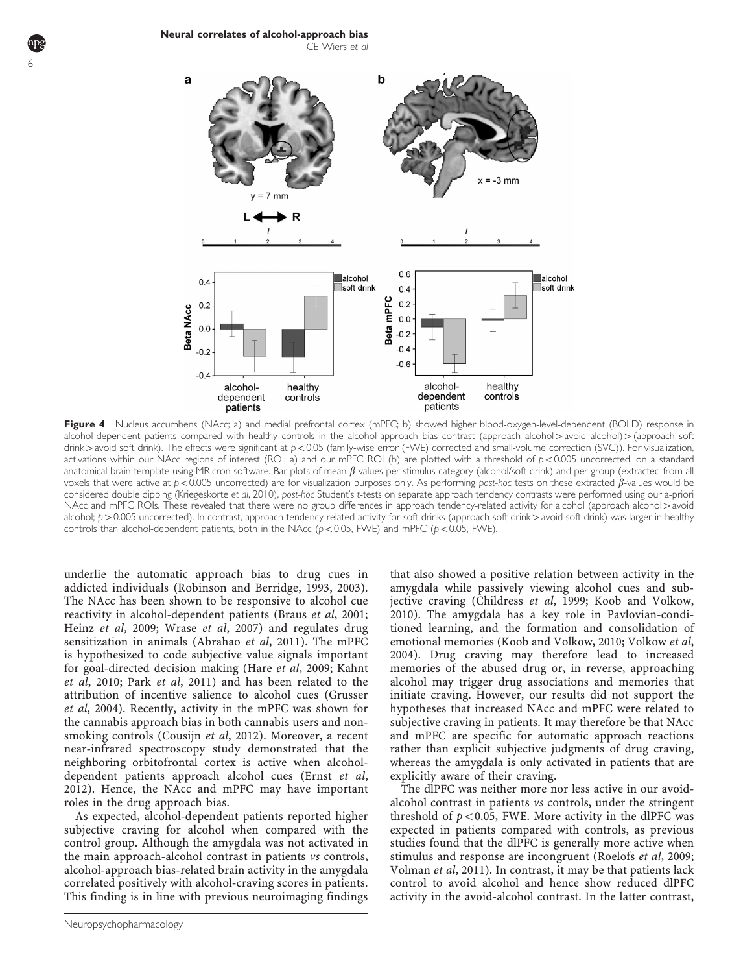<span id="page-5-0"></span>6



Figure 4 Nucleus accumbens (NAcc; a) and medial prefrontal cortex (mPFC; b) showed higher blood-oxygen-level-dependent (BOLD) response in alcohol-dependent patients compared with healthy controls in the alcohol-approach bias contrast (approach alcohol) avoid alcohol) > (approach soft drink > avoid soft drink). The effects were significant at  $p < 0.05$  (family-wise error (FWE) corrected and small-volume correction (SVC)). For visualization, activations within our NAcc regions of interest (ROI; a) and our mPFC ROI (b) are plotted with a threshold of  $p < 0.005$  uncorrected, on a standard anatomical brain template using MRIcron software. Bar plots of mean  $\beta$ -values per stimulus category (alcohol/soft drink) and per group (extracted from all voxels that were active at  $p < 0.005$  uncorrected) are for visualization purposes only. As performing post-hoc tests on these extracted  $\beta$ -values would be considered double dipping [\(Kriegeskorte](#page-8-0) et al, 2010), post-hoc Student's t-tests on separate approach tendency contrasts were performed using our a-priori NAcc and mPFC ROIs. These revealed that there were no group differences in approach tendency-related activity for alcohol (approach alcohol > avoid alcohol;  $p > 0.005$  uncorrected). In contrast, approach tendency-related activity for soft drinks (approach soft drink>avoid soft drink) was larger in healthy controls than alcohol-dependent patients, both in the NAcc ( $p < 0.05$ , FWE) and mPFC ( $p < 0.05$ , FWE).

underlie the automatic approach bias to drug cues in addicted individuals [\(Robinson and Berridge, 1993, 2003](#page-8-0)). The NAcc has been shown to be responsive to alcohol cue reactivity in alcohol-dependent patients (Braus et al[, 2001](#page-8-0); Heinz et al[, 2009](#page-8-0); [Wrase](#page-9-0) et al, 2007) and regulates drug sensitization in animals ([Abrahao](#page-7-0) et al, 2011). The mPFC is hypothesized to code subjective value signals important for goal-directed decision making (Hare et al[, 2009](#page-8-0); [Kahnt](#page-8-0) et al[, 2010;](#page-8-0) Park et al[, 2011\)](#page-8-0) and has been related to the attribution of incentive salience to alcohol cues [\(Grusser](#page-8-0) et al[, 2004](#page-8-0)). Recently, activity in the mPFC was shown for the cannabis approach bias in both cannabis users and nonsmoking controls [\(Cousijn](#page-8-0) et al, 2012). Moreover, a recent near-infrared spectroscopy study demonstrated that the neighboring orbitofrontal cortex is active when alcoholdependent patients approach alcohol cues ([Ernst](#page-8-0) et al, [2012](#page-8-0)). Hence, the NAcc and mPFC may have important roles in the drug approach bias.

As expected, alcohol-dependent patients reported higher subjective craving for alcohol when compared with the control group. Although the amygdala was not activated in the main approach-alcohol contrast in patients vs controls, alcohol-approach bias-related brain activity in the amygdala correlated positively with alcohol-craving scores in patients. This finding is in line with previous neuroimaging findings

that also showed a positive relation between activity in the amygdala while passively viewing alcohol cues and subjective craving ([Childress](#page-8-0) et al, 1999; [Koob and Volkow,](#page-8-0) [2010](#page-8-0)). The amygdala has a key role in Pavlovian-conditioned learning, and the formation and consolidation of emotional memories [\(Koob and Volkow, 2010](#page-8-0); [Volkow](#page-8-0) et al, [2004](#page-8-0)). Drug craving may therefore lead to increased memories of the abused drug or, in reverse, approaching alcohol may trigger drug associations and memories that initiate craving. However, our results did not support the hypotheses that increased NAcc and mPFC were related to subjective craving in patients. It may therefore be that NAcc and mPFC are specific for automatic approach reactions rather than explicit subjective judgments of drug craving, whereas the amygdala is only activated in patients that are explicitly aware of their craving.

The dlPFC was neither more nor less active in our avoidalcohol contrast in patients vs controls, under the stringent threshold of  $p < 0.05$ , FWE. More activity in the dlPFC was expected in patients compared with controls, as previous studies found that the dlPFC is generally more active when stimulus and response are incongruent ([Roelofs](#page-8-0) et al, 2009; [Volman](#page-9-0) et al, 2011). In contrast, it may be that patients lack control to avoid alcohol and hence show reduced dlPFC activity in the avoid-alcohol contrast. In the latter contrast,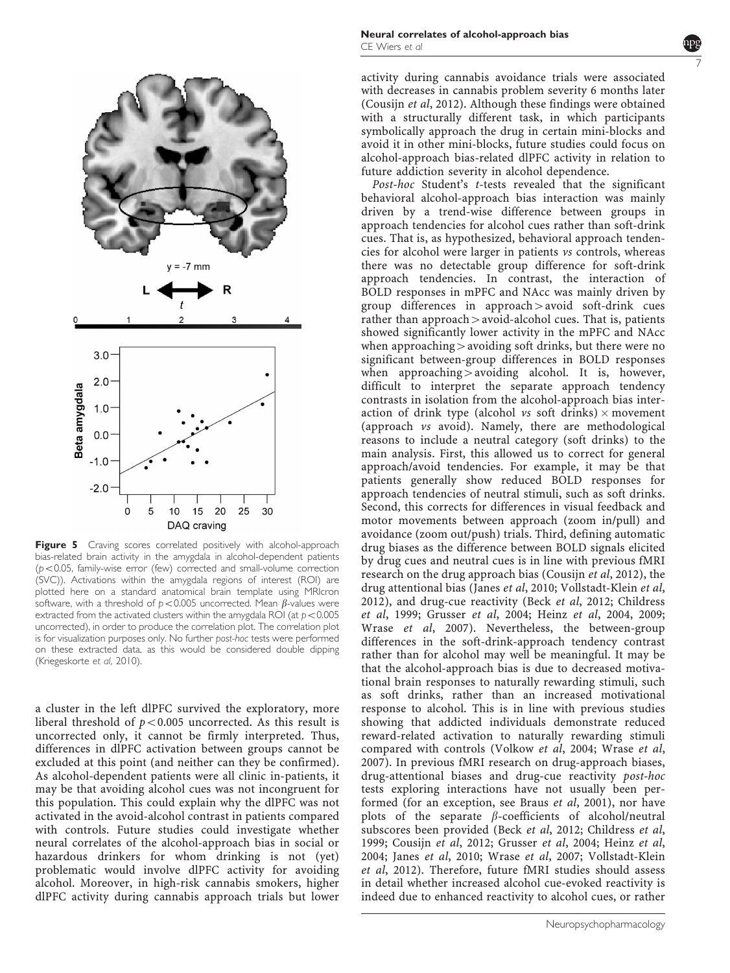<span id="page-6-0"></span>

Figure 5 Craving scores correlated positively with alcohol-approach bias-related brain activity in the amygdala in alcohol-dependent patients  $(p<0.05$ , family-wise error (few) corrected and small-volume correction (SVC)). Activations within the amygdala regions of interest (ROI) are plotted here on a standard anatomical brain template using MRIcron software, with a threshold of  $p < 0.005$  uncorrected. Mean  $\beta$ -values were extracted from the activated clusters within the amygdala ROI (at  $p < 0.005$ ) uncorrected), in order to produce the correlation plot. The correlation plot is for visualization purposes only. No further post-hoc tests were performed on these extracted data, as this would be considered double dipping ([Kriegeskorte](#page-8-0) et al, 2010).

a cluster in the left dlPFC survived the exploratory, more liberal threshold of  $p < 0.005$  uncorrected. As this result is uncorrected only, it cannot be firmly interpreted. Thus, differences in dlPFC activation between groups cannot be excluded at this point (and neither can they be confirmed). As alcohol-dependent patients were all clinic in-patients, it may be that avoiding alcohol cues was not incongruent for this population. This could explain why the dlPFC was not activated in the avoid-alcohol contrast in patients compared with controls. Future studies could investigate whether neural correlates of the alcohol-approach bias in social or hazardous drinkers for whom drinking is not (yet) problematic would involve dlPFC activity for avoiding alcohol. Moreover, in high-risk cannabis smokers, higher dlPFC activity during cannabis approach trials but lower

activity during cannabis avoidance trials were associated with decreases in cannabis problem severity 6 months later [\(Cousijn](#page-8-0) et al, 2012). Although these findings were obtained with a structurally different task, in which participants symbolically approach the drug in certain mini-blocks and avoid it in other mini-blocks, future studies could focus on alcohol-approach bias-related dlPFC activity in relation to future addiction severity in alcohol dependence.

7

Post-hoc Student's t-tests revealed that the significant behavioral alcohol-approach bias interaction was mainly driven by a trend-wise difference between groups in approach tendencies for alcohol cues rather than soft-drink cues. That is, as hypothesized, behavioral approach tendencies for alcohol were larger in patients vs controls, whereas there was no detectable group difference for soft-drink approach tendencies. In contrast, the interaction of BOLD responses in mPFC and NAcc was mainly driven by group differences in approach  $>$  avoid soft-drink cues rather than approach  $>$  avoid-alcohol cues. That is, patients showed significantly lower activity in the mPFC and NAcc when approaching  $>$  avoiding soft drinks, but there were no significant between-group differences in BOLD responses when approaching avoiding alcohol. It is, however, difficult to interpret the separate approach tendency contrasts in isolation from the alcohol-approach bias interaction of drink type (alcohol  $\nu s$  soft drinks)  $\times$  movement (approach vs avoid). Namely, there are methodological reasons to include a neutral category (soft drinks) to the main analysis. First, this allowed us to correct for general approach/avoid tendencies. For example, it may be that patients generally show reduced BOLD responses for approach tendencies of neutral stimuli, such as soft drinks. Second, this corrects for differences in visual feedback and motor movements between approach (zoom in/pull) and avoidance (zoom out/push) trials. Third, defining automatic drug biases as the difference between BOLD signals elicited by drug cues and neutral cues is in line with previous fMRI research on the drug approach bias ([Cousijn](#page-8-0) et al, 2012), the drug attentional bias (Janes et al[, 2010; Vollstadt-Klein](#page-8-0) et al, [2012\)](#page-8-0), and drug-cue reactivity (Beck et al[, 2012](#page-7-0); [Childress](#page-8-0) et al[, 1999](#page-8-0); [Grusser](#page-8-0) et al, 2004; Heinz et al[, 2004, 2009;](#page-8-0) Wrase et al[, 2007\)](#page-9-0). Nevertheless, the between-group differences in the soft-drink-approach tendency contrast rather than for alcohol may well be meaningful. It may be that the alcohol-approach bias is due to decreased motivational brain responses to naturally rewarding stimuli, such as soft drinks, rather than an increased motivational response to alcohol. This is in line with previous studies showing that addicted individuals demonstrate reduced reward-related activation to naturally rewarding stimuli compared with controls ([Volkow](#page-8-0) et al, 2004; [Wrase](#page-9-0) et al, [2007\)](#page-9-0). In previous fMRI research on drug-approach biases, drug-attentional biases and drug-cue reactivity post-hoc tests exploring interactions have not usually been performed (for an exception, see Braus et al[, 2001\)](#page-8-0), nor have plots of the separate  $\beta$ -coefficients of alcohol/neutral subscores been provided (Beck et al[, 2012;](#page-7-0) [Childress](#page-8-0) et al, [1999; Cousijn](#page-8-0) et al, 2012; [Grusser](#page-8-0) et al, 2004; [Heinz](#page-8-0) et al, [2004;](#page-8-0) Janes et al[, 2010;](#page-8-0) [Wrase](#page-9-0) et al, 2007; [Vollstadt-Klein](#page-8-0) et al[, 2012](#page-8-0)). Therefore, future fMRI studies should assess in detail whether increased alcohol cue-evoked reactivity is indeed due to enhanced reactivity to alcohol cues, or rather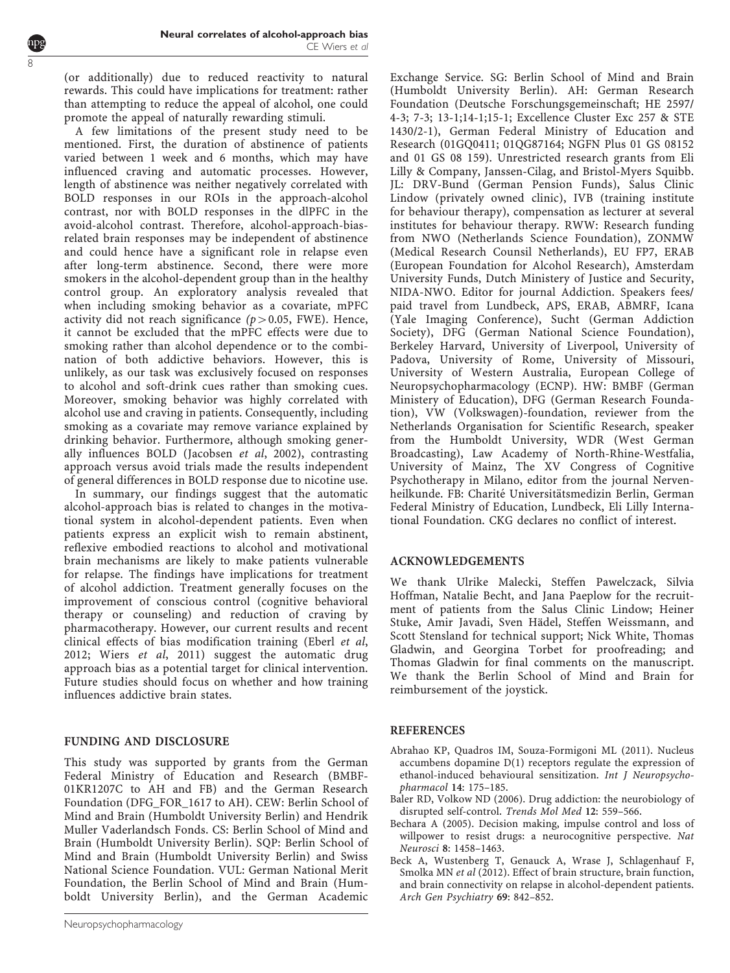<span id="page-7-0"></span>(or additionally) due to reduced reactivity to natural rewards. This could have implications for treatment: rather than attempting to reduce the appeal of alcohol, one could promote the appeal of naturally rewarding stimuli.

A few limitations of the present study need to be mentioned. First, the duration of abstinence of patients varied between 1 week and 6 months, which may have influenced craving and automatic processes. However, length of abstinence was neither negatively correlated with BOLD responses in our ROIs in the approach-alcohol contrast, nor with BOLD responses in the dlPFC in the avoid-alcohol contrast. Therefore, alcohol-approach-biasrelated brain responses may be independent of abstinence and could hence have a significant role in relapse even after long-term abstinence. Second, there were more smokers in the alcohol-dependent group than in the healthy control group. An exploratory analysis revealed that when including smoking behavior as a covariate, mPFC activity did not reach significance ( $p > 0.05$ , FWE). Hence, it cannot be excluded that the mPFC effects were due to smoking rather than alcohol dependence or to the combination of both addictive behaviors. However, this is unlikely, as our task was exclusively focused on responses to alcohol and soft-drink cues rather than smoking cues. Moreover, smoking behavior was highly correlated with alcohol use and craving in patients. Consequently, including smoking as a covariate may remove variance explained by drinking behavior. Furthermore, although smoking generally influences BOLD [\(Jacobsen](#page-8-0) et al, 2002), contrasting approach versus avoid trials made the results independent of general differences in BOLD response due to nicotine use.

In summary, our findings suggest that the automatic alcohol-approach bias is related to changes in the motivational system in alcohol-dependent patients. Even when patients express an explicit wish to remain abstinent, reflexive embodied reactions to alcohol and motivational brain mechanisms are likely to make patients vulnerable for relapse. The findings have implications for treatment of alcohol addiction. Treatment generally focuses on the improvement of conscious control (cognitive behavioral therapy or counseling) and reduction of craving by pharmacotherapy. However, our current results and recent clinical effects of bias modification training [\(Eberl](#page-8-0) et al, [2012](#page-8-0); Wiers et al[, 2011\)](#page-9-0) suggest the automatic drug approach bias as a potential target for clinical intervention. Future studies should focus on whether and how training influences addictive brain states.

## FUNDING AND DISCLOSURE

This study was supported by grants from the German Federal Ministry of Education and Research (BMBF-01KR1207C to AH and FB) and the German Research Foundation (DFG\_FOR\_1617 to AH). CEW: Berlin School of Mind and Brain (Humboldt University Berlin) and Hendrik Muller Vaderlandsch Fonds. CS: Berlin School of Mind and Brain (Humboldt University Berlin). SQP: Berlin School of Mind and Brain (Humboldt University Berlin) and Swiss National Science Foundation. VUL: German National Merit Foundation, the Berlin School of Mind and Brain (Humboldt University Berlin), and the German Academic

Exchange Service. SG: Berlin School of Mind and Brain (Humboldt University Berlin). AH: German Research Foundation (Deutsche Forschungsgemeinschaft; HE 2597/ 4-3; 7-3; 13-1;14-1;15-1; Excellence Cluster Exc 257 & STE 1430/2-1), German Federal Ministry of Education and Research (01GQ0411; 01QG87164; NGFN Plus 01 GS 08152 and 01 GS 08 159). Unrestricted research grants from Eli Lilly & Company, Janssen-Cilag, and Bristol-Myers Squibb. JL: DRV-Bund (German Pension Funds), Salus Clinic Lindow (privately owned clinic), IVB (training institute for behaviour therapy), compensation as lecturer at several institutes for behaviour therapy. RWW: Research funding from NWO (Netherlands Science Foundation), ZONMW (Medical Research Counsil Netherlands), EU FP7, ERAB (European Foundation for Alcohol Research), Amsterdam University Funds, Dutch Ministery of Justice and Security, NIDA-NWO. Editor for journal Addiction. Speakers fees/ paid travel from Lundbeck, APS, ERAB, ABMRF, Icana (Yale Imaging Conference), Sucht (German Addiction Society), DFG (German National Science Foundation), Berkeley Harvard, University of Liverpool, University of Padova, University of Rome, University of Missouri, University of Western Australia, European College of Neuropsychopharmacology (ECNP). HW: BMBF (German Ministery of Education), DFG (German Research Foundation), VW (Volkswagen)-foundation, reviewer from the Netherlands Organisation for Scientific Research, speaker from the Humboldt University, WDR (West German Broadcasting), Law Academy of North-Rhine-Westfalia, University of Mainz, The XV Congress of Cognitive Psychotherapy in Milano, editor from the journal Nervenheilkunde. FB: Charité Universitätsmedizin Berlin, German Federal Ministry of Education, Lundbeck, Eli Lilly International Foundation. CKG declares no conflict of interest.

## ACKNOWLEDGEMENTS

We thank Ulrike Malecki, Steffen Pawelczack, Silvia Hoffman, Natalie Becht, and Jana Paeplow for the recruitment of patients from the Salus Clinic Lindow; Heiner Stuke, Amir Javadi, Sven Hädel, Steffen Weissmann, and Scott Stensland for technical support; Nick White, Thomas Gladwin, and Georgina Torbet for proofreading; and Thomas Gladwin for final comments on the manuscript. We thank the Berlin School of Mind and Brain for reimbursement of the joystick.

## **REFERENCES**

- Abrahao KP, Quadros IM, Souza-Formigoni ML (2011). Nucleus accumbens dopamine D(1) receptors regulate the expression of ethanol-induced behavioural sensitization. Int J Neuropsychopharmacol 14: 175–185.
- Baler RD, Volkow ND (2006). Drug addiction: the neurobiology of disrupted self-control. Trends Mol Med 12: 559–566.
- Bechara A (2005). Decision making, impulse control and loss of willpower to resist drugs: a neurocognitive perspective. Nat Neurosci 8: 1458–1463.
- Beck A, Wustenberg T, Genauck A, Wrase J, Schlagenhauf F, Smolka MN et al (2012). Effect of brain structure, brain function, and brain connectivity on relapse in alcohol-dependent patients. Arch Gen Psychiatry 69: 842–852.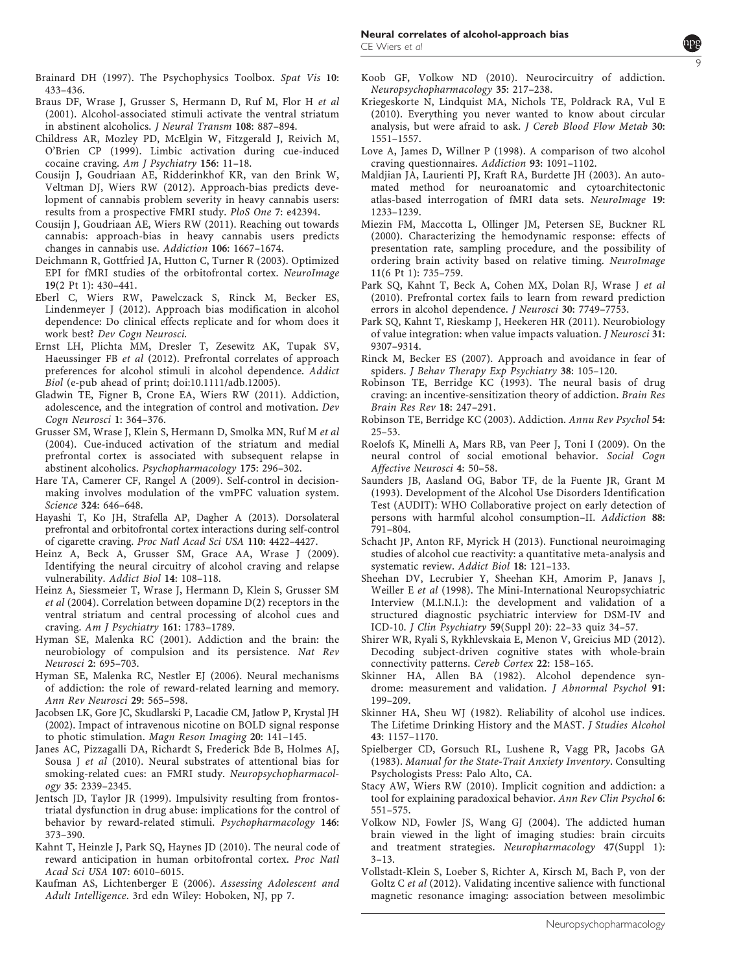<span id="page-8-0"></span>Brainard DH (1997). The Psychophysics Toolbox. Spat Vis 10: 433–436.

- Braus DF, Wrase J, Grusser S, Hermann D, Ruf M, Flor H et al (2001). Alcohol-associated stimuli activate the ventral striatum in abstinent alcoholics. J Neural Transm 108: 887–894.
- Childress AR, Mozley PD, McElgin W, Fitzgerald J, Reivich M, O'Brien CP (1999). Limbic activation during cue-induced cocaine craving. Am J Psychiatry 156: 11–18.
- Cousijn J, Goudriaan AE, Ridderinkhof KR, van den Brink W, Veltman DJ, Wiers RW (2012). Approach-bias predicts development of cannabis problem severity in heavy cannabis users: results from a prospective FMRI study. PloS One 7: e42394.
- Cousijn J, Goudriaan AE, Wiers RW (2011). Reaching out towards cannabis: approach-bias in heavy cannabis users predicts changes in cannabis use. Addiction 106: 1667–1674.
- Deichmann R, Gottfried JA, Hutton C, Turner R (2003). Optimized EPI for fMRI studies of the orbitofrontal cortex. NeuroImage 19(2 Pt 1): 430–441.
- Eberl C, Wiers RW, Pawelczack S, Rinck M, Becker ES, Lindenmeyer J (2012). Approach bias modification in alcohol dependence: Do clinical effects replicate and for whom does it work best? Dev Cogn Neurosci.
- Ernst LH, Plichta MM, Dresler T, Zesewitz AK, Tupak SV, Haeussinger FB et al (2012). Prefrontal correlates of approach preferences for alcohol stimuli in alcohol dependence. Addict Biol (e-pub ahead of print; doi[:10.1111/adb.12005\)](http://dx.doi.org/10.1111/adb.12005).
- Gladwin TE, Figner B, Crone EA, Wiers RW (2011). Addiction, adolescence, and the integration of control and motivation. Dev Cogn Neurosci 1: 364–376.
- Grusser SM, Wrase J, Klein S, Hermann D, Smolka MN, Ruf M et al (2004). Cue-induced activation of the striatum and medial prefrontal cortex is associated with subsequent relapse in abstinent alcoholics. Psychopharmacology 175: 296–302.
- Hare TA, Camerer CF, Rangel A (2009). Self-control in decisionmaking involves modulation of the vmPFC valuation system. Science 324: 646–648.
- Hayashi T, Ko JH, Strafella AP, Dagher A (2013). Dorsolateral prefrontal and orbitofrontal cortex interactions during self-control of cigarette craving. Proc Natl Acad Sci USA 110: 4422–4427.
- Heinz A, Beck A, Grusser SM, Grace AA, Wrase J (2009). Identifying the neural circuitry of alcohol craving and relapse vulnerability. Addict Biol 14: 108–118.
- Heinz A, Siessmeier T, Wrase J, Hermann D, Klein S, Grusser SM et al (2004). Correlation between dopamine D(2) receptors in the ventral striatum and central processing of alcohol cues and craving. Am J Psychiatry 161: 1783–1789.
- Hyman SE, Malenka RC (2001). Addiction and the brain: the neurobiology of compulsion and its persistence. Nat Rev Neurosci 2: 695–703.
- Hyman SE, Malenka RC, Nestler EJ (2006). Neural mechanisms of addiction: the role of reward-related learning and memory. Ann Rev Neurosci 29: 565–598.
- Jacobsen LK, Gore JC, Skudlarski P, Lacadie CM, Jatlow P, Krystal JH (2002). Impact of intravenous nicotine on BOLD signal response to photic stimulation. Magn Reson Imaging 20: 141–145.
- Janes AC, Pizzagalli DA, Richardt S, Frederick Bde B, Holmes AJ, Sousa J et al (2010). Neural substrates of attentional bias for smoking-related cues: an FMRI study. Neuropsychopharmacology 35: 2339–2345.
- Jentsch JD, Taylor JR (1999). Impulsivity resulting from frontostriatal dysfunction in drug abuse: implications for the control of behavior by reward-related stimuli. Psychopharmacology 146: 373–390.
- Kahnt T, Heinzle J, Park SQ, Haynes JD (2010). The neural code of reward anticipation in human orbitofrontal cortex. Proc Natl Acad Sci USA 107: 6010–6015.
- Kaufman AS, Lichtenberger E (2006). Assessing Adolescent and Adult Intelligence. 3rd edn Wiley: Hoboken, NJ, pp 7.
- Koob GF, Volkow ND (2010). Neurocircuitry of addiction. Neuropsychopharmacology 35: 217–238.
- Kriegeskorte N, Lindquist MA, Nichols TE, Poldrack RA, Vul E (2010). Everything you never wanted to know about circular analysis, but were afraid to ask. J Cereb Blood Flow Metab 30: 1551–1557.
- Love A, James D, Willner P (1998). A comparison of two alcohol craving questionnaires. Addiction 93: 1091–1102.
- Maldjian JA, Laurienti PJ, Kraft RA, Burdette JH (2003). An automated method for neuroanatomic and cytoarchitectonic atlas-based interrogation of fMRI data sets. NeuroImage 19: 1233–1239.
- Miezin FM, Maccotta L, Ollinger JM, Petersen SE, Buckner RL (2000). Characterizing the hemodynamic response: effects of presentation rate, sampling procedure, and the possibility of ordering brain activity based on relative timing. NeuroImage 11(6 Pt 1): 735–759.
- Park SQ, Kahnt T, Beck A, Cohen MX, Dolan RJ, Wrase J et al (2010). Prefrontal cortex fails to learn from reward prediction errors in alcohol dependence. J Neurosci 30: 7749–7753.
- Park SQ, Kahnt T, Rieskamp J, Heekeren HR (2011). Neurobiology of value integration: when value impacts valuation. J Neurosci 31: 9307–9314.
- Rinck M, Becker ES (2007). Approach and avoidance in fear of spiders. J Behav Therapy Exp Psychiatry 38: 105-120.
- Robinson TE, Berridge KC (1993). The neural basis of drug craving: an incentive-sensitization theory of addiction. Brain Res Brain Res Rev 18: 247–291.
- Robinson TE, Berridge KC (2003). Addiction. Annu Rev Psychol 54: 25–53.
- Roelofs K, Minelli A, Mars RB, van Peer J, Toni I (2009). On the neural control of social emotional behavior. Social Cogn Affective Neurosci 4: 50–58.
- Saunders JB, Aasland OG, Babor TF, de la Fuente JR, Grant M (1993). Development of the Alcohol Use Disorders Identification Test (AUDIT): WHO Collaborative project on early detection of persons with harmful alcohol consumption–II. Addiction 88: 791–804.
- Schacht JP, Anton RF, Myrick H (2013). Functional neuroimaging studies of alcohol cue reactivity: a quantitative meta-analysis and systematic review. Addict Biol 18: 121–133.
- Sheehan DV, Lecrubier Y, Sheehan KH, Amorim P, Janavs J, Weiller E et al (1998). The Mini-International Neuropsychiatric Interview (M.I.N.I.): the development and validation of a structured diagnostic psychiatric interview for DSM-IV and ICD-10. J Clin Psychiatry 59(Suppl 20): 22–33 quiz 34–57.
- Shirer WR, Ryali S, Rykhlevskaia E, Menon V, Greicius MD (2012). Decoding subject-driven cognitive states with whole-brain connectivity patterns. Cereb Cortex 22: 158–165.
- Skinner HA, Allen BA (1982). Alcohol dependence syndrome: measurement and validation. J Abnormal Psychol 91: 199–209.
- Skinner HA, Sheu WJ (1982). Reliability of alcohol use indices. The Lifetime Drinking History and the MAST. J Studies Alcohol 43: 1157–1170.
- Spielberger CD, Gorsuch RL, Lushene R, Vagg PR, Jacobs GA (1983). Manual for the State-Trait Anxiety Inventory. Consulting Psychologists Press: Palo Alto, CA.
- Stacy AW, Wiers RW (2010). Implicit cognition and addiction: a tool for explaining paradoxical behavior. Ann Rev Clin Psychol 6: 551–575.
- Volkow ND, Fowler JS, Wang GJ (2004). The addicted human brain viewed in the light of imaging studies: brain circuits and treatment strategies. Neuropharmacology 47(Suppl 1): 3–13.
- Vollstadt-Klein S, Loeber S, Richter A, Kirsch M, Bach P, von der Goltz C et al (2012). Validating incentive salience with functional magnetic resonance imaging: association between mesolimbic